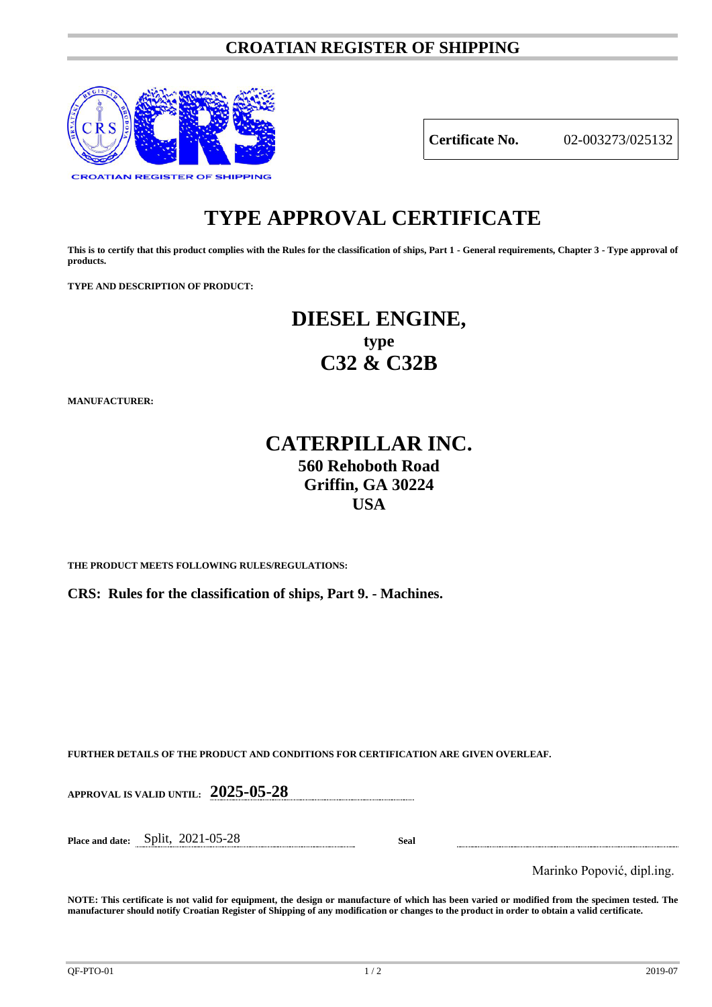### **CROATIAN REGISTER OF SHIPPING**



**Certificate No.** 02-003273/025132

# **TYPE APPROVAL CERTIFICATE**

**This is to certify that this product complies with the Rules for the classification of ships, Part 1 - General requirements, Chapter 3 - Type approval of products.**

**TYPE AND DESCRIPTION OF PRODUCT:** 

# **DIESEL ENGINE, type C32 & C32B**

**MANUFACTURER:**

## **CATERPILLAR INC. 560 Rehoboth Road Griffin, GA 30224 USA**

**THE PRODUCT MEETS FOLLOWING RULES/REGULATIONS:**

**CRS: Rules for the classification of ships, Part 9. - Machines.**

**FURTHER DETAILS OF THE PRODUCT AND CONDITIONS FOR CERTIFICATION ARE GIVEN OVERLEAF.**

**APPROVAL IS VALID UNTIL: 2025-05-28**

**Place and date:** Split, 2021-05-28 **Seal**

Marinko Popović, dipl.ing.

**NOTE: This certificate is not valid for equipment, the design or manufacture of which has been varied or modified from the specimen tested. The manufacturer should notify Croatian Register of Shipping of any modification or changes to the product in order to obtain a valid certificate.**